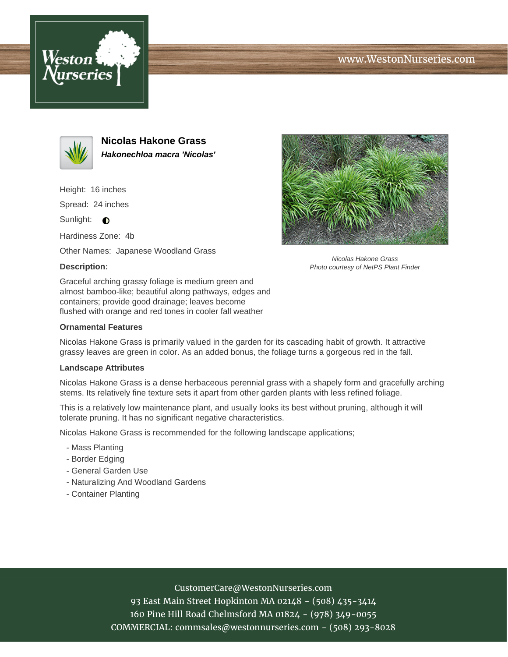





**Nicolas Hakone Grass Hakonechloa macra 'Nicolas'**

Height: 16 inches

Spread: 24 inches

Sunlight:  $\bigcirc$ 

Hardiness Zone: 4b

Other Names: Japanese Woodland Grass

## **Description:**

Nicolas Hakone Grass Photo courtesy of NetPS Plant Finder

Graceful arching grassy foliage is medium green and almost bamboo-like; beautiful along pathways, edges and containers; provide good drainage; leaves become flushed with orange and red tones in cooler fall weather

### **Ornamental Features**

Nicolas Hakone Grass is primarily valued in the garden for its cascading habit of growth. It attractive grassy leaves are green in color. As an added bonus, the foliage turns a gorgeous red in the fall.

#### **Landscape Attributes**

Nicolas Hakone Grass is a dense herbaceous perennial grass with a shapely form and gracefully arching stems. Its relatively fine texture sets it apart from other garden plants with less refined foliage.

This is a relatively low maintenance plant, and usually looks its best without pruning, although it will tolerate pruning. It has no significant negative characteristics.

Nicolas Hakone Grass is recommended for the following landscape applications;

- Mass Planting
- Border Edging
- General Garden Use
- Naturalizing And Woodland Gardens
- Container Planting

# CustomerCare@WestonNurseries.com

93 East Main Street Hopkinton MA 02148 - (508) 435-3414 160 Pine Hill Road Chelmsford MA 01824 - (978) 349-0055 COMMERCIAL: commsales@westonnurseries.com - (508) 293-8028